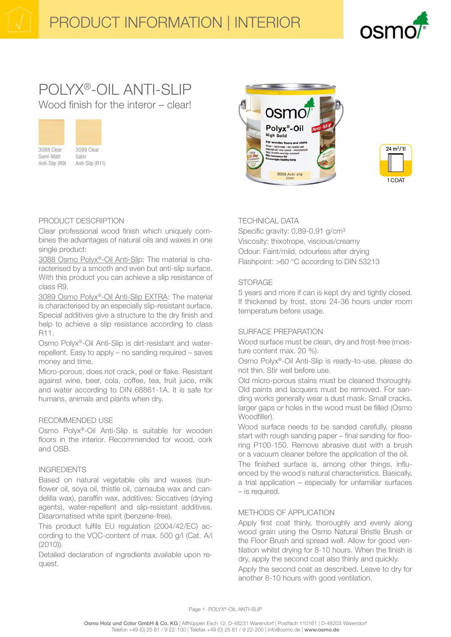# nsm

# POLYX®-OIL ANTI-SLIP Wood finish for the interor – clearl



3088 Clear Semi-Matt Anti-Slip (R9)



# PRODUCT DESCRIPTION

Clear professional wood finish which uniquely combines the advantages of natural oils and waxes in one single product:

3088 Osmo Polyx®-Oil Anti-Slip: The material is characterised by a smooth and even but anti-slip surface. With this product you can achieve a slip resistance of class R9.

3089 Osmo Polyx®-Oil Anti-Slip EXTRA: The material is characterised by an especially slip-resistant surface. Special additives give a structure to the dry finish and help to achieve a slip resistance according to class R11.

Osmo Polyx®-Oil Anti-Slip is dirt-resistant and waterrepellent. Easy to apply – no sanding required – saves money and time.

Micro-porous, does not crack, peel or flake. Resistant against wine, beer, cola, coffee, tea, fruit juice, milk and water according to DIN 68861-1A. It is safe for humans, animals and plants when dry.

## RECOMMENDED USE

Osmo Polyx®-Oil Anti-Slip is suitable for wooden floors in the interior. Recommended for wood, cork and OSB.

#### INGREDIENTS

Based on natural vegetable oils and waxes (sunflower oil, soya oil, thistle oil, carnauba wax and candelilla wax), paraffin wax, additives: Siccatives (drying agents), water-repellent and slip-resistant additives. Disaromatised white spirit (benzene-free).

This product fulfils EU regulation (2004/42/EC) according to the VOC-content of max. 500 g/l (Cat. A/i (2010)).

Detailed declaration of ingredients available upon request.





# TECHNICAL DATA

Specific gravity: 0,89-0,91 g/cm<sup>3</sup> Viscosity: thixotrope, viscious/creamy Odour: Faint/mild, odourless after drying Flashpoint: >60 °C according to DIN 53213

## **STORAGE**

5 years and more if can is kept dry and tightly closed. If thickened by frost, store 24-36 hours under room temperature before usage.

#### SURFACE PREPARATION

Wood surface must be clean, dry and frost-free (moisture content max. 20 %).

Osmo Polyx®-Oil Anti-Slip is ready-to-use, please do not thin. Stir well before use.

Old micro-porous stains must be cleaned thoroughly. Old paints and lacquers must be removed. For sanding works generally wear a dust mask. Small cracks, larger gaps or holes in the wood must be filled (Osmo Woodfiller).

Wood surface needs to be sanded carefully, please start with rough sanding paper – final sanding for flooring P100-150. Remove abrasive dust with a brush or a vacuum cleaner before the application of the oil.

The finished surface is, among other things, influenced by the wood´s natural characteristics. Basically, a trial application – especially for unfamiliar surfaces – is required.

#### METHODS OF APPLICATION

Apply first coat thinly, thoroughly and evenly along wood grain using the Osmo Natural Bristle Brush or the Floor Brush and spread well. Allow for good ventilation whilst drying for 8-10 hours. When the finish is dry, apply the second coat also thinly and quickly. Apply the second coat as described. Leave to dry for another 8-10 hours with good ventilation.